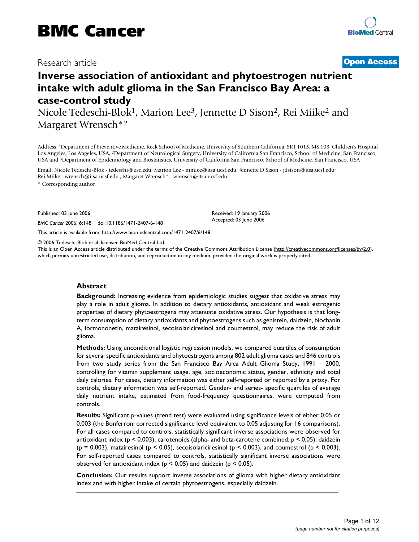## Research article **[Open Access](http://www.biomedcentral.com/info/about/charter/)**

# **Inverse association of antioxidant and phytoestrogen nutrient intake with adult glioma in the San Francisco Bay Area: a case-control study**

Nicole Tedeschi-Blok<sup>1</sup>, Marion Lee<sup>3</sup>, Jennette D Sison<sup>2</sup>, Rei Miike<sup>2</sup> and Margaret Wrensch\*2

Address: 1Department of Preventive Medicine, Keck School of Medicine, University of Southern California, SRT 1015, MS 103, Children's Hospital Los Angeles, Los Angeles, USA, 2Department of Neurological Surgery, University of California San Francisco, School of Medicine, San Francisco, USA and 3Department of Epidemiology and Biostatistics, University of California San Francisco, School of Medicine, San Francisco, USA

Email: Nicole Tedeschi-Blok - tedeschi@usc.edu; Marion Lee - mmlee@itsa.ucsf.edu; Jennette D Sison - jdsison@itsa.ucsf.edu; Rei Miike - wrensch@itsa.ucsf.edu ; Margaret Wrensch\* - wrensch@itsa.ucsf.edu

\* Corresponding author

Published: 03 June 2006

*BMC Cancer* 2006, **6**:148 doi:10.1186/1471-2407-6-148

[This article is available from: http://www.biomedcentral.com/1471-2407/6/148](http://www.biomedcentral.com/1471-2407/6/148)

© 2006 Tedeschi-Blok et al; licensee BioMed Central Ltd.

This is an Open Access article distributed under the terms of the Creative Commons Attribution License [\(http://creativecommons.org/licenses/by/2.0\)](http://creativecommons.org/licenses/by/2.0), which permits unrestricted use, distribution, and reproduction in any medium, provided the original work is properly cited.

Received: 19 January 2006 Accepted: 03 June 2006

#### **Abstract**

**Background:** Increasing evidence from epidemiologic studies suggest that oxidative stress may play a role in adult glioma. In addition to dietary antioxidants, antioxidant and weak estrogenic properties of dietary phytoestrogens may attenuate oxidative stress. Our hypothesis is that longterm consumption of dietary antioxidants and phytoestrogens such as genistein, daidzein, biochanin A, formononetin, matairesinol, secoisolariciresinol and coumestrol, may reduce the risk of adult glioma.

**Methods:** Using unconditional logistic regression models, we compared quartiles of consumption for several specific antioxidants and phytoestrogens among 802 adult glioma cases and 846 controls from two study series from the San Francisco Bay Area Adult Glioma Study, 1991 – 2000, controlling for vitamin supplement usage, age, socioeconomic status, gender, ethnicity and total daily calories. For cases, dietary information was either self-reported or reported by a proxy. For controls, dietary information was self-reported. Gender- and series- specific quartiles of average daily nutrient intake, estimated from food-frequency questionnaires, were computed from controls.

**Results:** Significant p-values (trend test) were evaluated using significance levels of either 0.05 or 0.003 (the Bonferroni corrected significance level equivalent to 0.05 adjusting for 16 comparisons). For all cases compared to controls, statistically significant inverse associations were observed for antioxidant index ( $p \le 0.003$ ), carotenoids (alpha- and beta-carotene combined,  $p \le 0.05$ ), daidzein ( $p = 0.003$ ), matairesinol ( $p \le 0.05$ ), secoisolariciresinol ( $p \le 0.003$ ), and coumestrol ( $p \le 0.003$ ). For self-reported cases compared to controls, statistically significant inverse associations were observed for antioxidant index ( $p < 0.05$ ) and daidzein ( $p < 0.05$ ).

**Conclusion:** Our results support inverse associations of glioma with higher dietary antioxidant index and with higher intake of certain phytoestrogens, especially daidzein.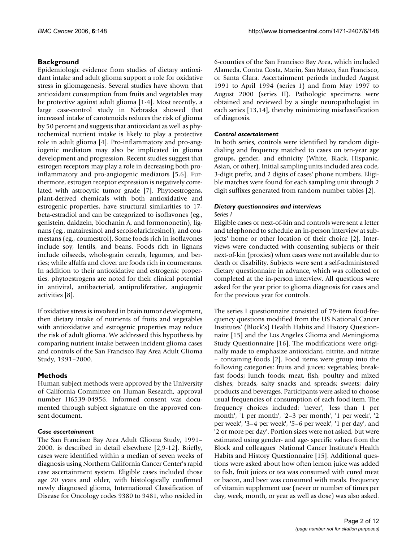### **Background**

Epidemiologic evidence from studies of dietary antioxidant intake and adult glioma support a role for oxidative stress in gliomagenesis. Several studies have shown that antioxidant consumption from fruits and vegetables may be protective against adult glioma [1-4]. Most recently, a large case-control study in Nebraska showed that increased intake of carotenoids reduces the risk of glioma by 50 percent and suggests that antioxidant as well as phytochemical nutrient intake is likely to play a protective role in adult glioma [4]. Pro-inflammatory and pro-angiogenic mediators may also be implicated in glioma development and progression. Recent studies suggest that estrogen receptors may play a role in decreasing both proinflammatory and pro-angiogenic mediators [5,6]. Furthermore, estrogen receptor expression is negatively correlated with astrocytic tumor grade [7]. Phytoestrogens, plant-derived chemicals with both antioxidative and estrogenic properties, have structural similarities to 17 beta-estradiol and can be categorized to isoflavones (eg., genistein, daidzein, biochanin A, and formononetin), lignans (eg., matairesinol and secoisolariciresinol), and coumestans (eg., coumestrol). Some foods rich in isoflavones include soy, lentils, and beans. Foods rich in lignans include oilseeds, whole-grain cereals, legumes, and berries; while alfalfa and clover are foods rich in coumestans. In addition to their antioxidative and estrogenic properties, phytoestrogens are noted for their clinical potential in antiviral, antibacterial, antiproliferative, angiogenic activities [8].

If oxidative stress is involved in brain tumor development, then dietary intake of nutrients of fruits and vegetables with antioxidative and estrogenic properties may reduce the risk of adult glioma. We addressed this hypothesis by comparing nutrient intake between incident glioma cases and controls of the San Francisco Bay Area Adult Glioma Study, 1991–2000.

### **Methods**

Human subject methods were approved by the University of California Committee on Human Research, approval number H6539-04956. Informed consent was documented through subject signature on the approved consent document.

#### *Case ascertainment*

The San Francisco Bay Area Adult Glioma Study, 1991– 2000, is described in detail elsewhere [2,9-12]. Briefly, cases were identified within a median of seven weeks of diagnosis using Northern California Cancer Center's rapid case ascertainment system. Eligible cases included those age 20 years and older, with histologically confirmed newly diagnosed glioma, International Classification of Disease for Oncology codes 9380 to 9481, who resided in 6-counties of the San Francisco Bay Area, which included Alameda, Contra Costa, Marin, San Mateo, San Francisco, or Santa Clara. Ascertainment periods included August 1991 to April 1994 (series 1) and from May 1997 to August 2000 (series II). Pathologic specimens were obtained and reviewed by a single neuropathologist in each series [13,14], thereby minimizing misclassification of diagnosis.

#### *Control ascertainment*

In both series, controls were identified by random digitdialing and frequency matched to cases on ten-year age groups, gender, and ethnicity (White, Black, Hispanic, Asian, or other). Initial sampling units included area code, 3-digit prefix, and 2 digits of cases' phone numbers. Eligible matches were found for each sampling unit through 2 digit suffixes generated from random number tables [2].

# *Dietary questionnaires and interviews*

#### *Series I*

Eligible cases or next-of-kin and controls were sent a letter and telephoned to schedule an in-person interview at subjects' home or other location of their choice [2]. Interviews were conducted with consenting subjects or their next-of-kin (proxies) when cases were not available due to death or disability. Subjects were sent a self-administered dietary questionnaire in advance, which was collected or completed at the in-person interview. All questions were asked for the year prior to glioma diagnosis for cases and for the previous year for controls.

The series I questionnaire consisted of 79-item food-frequency questions modified from the US National Cancer Institutes' (Block's) Health Habits and History Questionnaire [15] and the Los Angeles Glioma and Meningioma Study Questionnaire [16]. The modifications were originally made to emphasize antioxidant, nitrite, and nitrate – containing foods [2]. Food items were group into the following categories: fruits and juices; vegetables; breakfast foods; lunch foods; meat, fish, poultry and mixed dishes; breads, salty snacks and spreads; sweets; dairy products and beverages. Participants were asked to choose usual frequencies of consumption of each food item. The frequency choices included: 'never', 'less than 1 per month', '1 per month', '2–3 per month', '1 per week', '2 per week', '3–4 per week', '5–6 per week', '1 per day', and '2 or more per day'. Portion sizes were not asked, but were estimated using gender- and age- specific values from the Block and colleagues' National Cancer Institute's Health Habits and History Questionnaire [15]. Additional questions were asked about how often lemon juice was added to fish, fruit juices or tea was consumed with cured meat or bacon, and beer was consumed with meals. Frequency of vitamin supplement use (never or number of times per day, week, month, or year as well as dose) was also asked.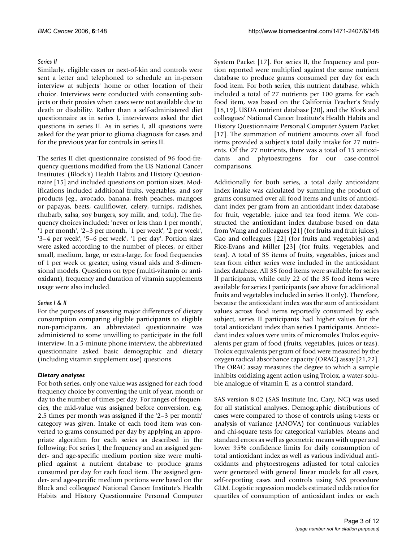#### *Series II*

Similarly, eligible cases or next-of-kin and controls were sent a letter and telephoned to schedule an in-person interview at subjects' home or other location of their choice. Interviews were conducted with consenting subjects or their proxies when cases were not available due to death or disability. Rather than a self-administered diet questionnaire as in series I, interviewers asked the diet questions in series II. As in series I, all questions were asked for the year prior to glioma diagnosis for cases and for the previous year for controls in series II.

The series II diet questionnaire consisted of 96 food-frequency questions modified from the US National Cancer Institutes' (Block's) Health Habits and History Questionnaire [15] and included questions on portion sizes. Modifications included additional fruits, vegetables, and soy products (eg., avocado, banana, fresh peaches, mangoes or papayas, beets, cauliflower, celery, turnips, radishes, rhubarb, salsa, soy burgers, soy milk, and, tofu). The frequency choices included: 'never or less than 1 per month', '1 per month', '2–3 per month, '1 per week', '2 per week', '3–4 per week', '5–6 per week', '1 per day'. Portion sizes were asked according to the number of pieces, or either small, medium, large, or extra-large, for food frequencies of 1 per week or greater; using visual aids and 3-dimensional models. Questions on type (multi-vitamin or antioxidant), frequency and duration of vitamin supplements usage were also included.

#### *Series I & II*

For the purposes of assessing major differences of dietary consumption comparing eligible participants to eligible non-participants, an abbreviated questionnaire was administered to some unwilling to participate in the full interview. In a 5-minute phone interview, the abbreviated questionnaire asked basic demographic and dietary (including vitamin supplement use) questions.

#### *Dietary analyses*

For both series, only one value was assigned for each food frequency choice by converting the unit of year, month or day to the number of times per day. For ranges of frequencies, the mid-value was assigned before conversion, e.g. 2.5 times per month was assigned if the '2–3 per month' category was given. Intake of each food item was converted to grams consumed per day by applying an appropriate algorithm for each series as described in the following: For series I, the frequency and an assigned gender- and age-specific medium portion size were multiplied against a nutrient database to produce grams consumed per day for each food item. The assigned gender- and age-specific medium portions were based on the Block and colleagues' National Cancer Institute's Health Habits and History Questionnaire Personal Computer System Packet [17]. For series II, the frequency and portion reported were multiplied against the same nutrient database to produce grams consumed per day for each food item. For both series, this nutrient database, which included a total of 27 nutrients per 100 grams for each food item, was based on the California Teacher's Study [18,19], USDA nutrient database [20], and the Block and colleagues' National Cancer Institute's Health Habits and History Questionnaire Personal Computer System Packet [17]. The summation of nutrient amounts over all food items provided a subject's total daily intake for 27 nutrients. Of the 27 nutrients, there was a total of 15 antioxidants and phytoestrogens for our case-control comparisons.

Additionally for both series, a total daily antioxidant index intake was calculated by summing the product of grams consumed over all food items and units of antioxidant index per gram from an antioxidant index database for fruit, vegetable, juice and tea food items. We constructed the antioxidant index database based on data from Wang and colleagues [21] (for fruits and fruit juices), Cao and colleagues [22] (for fruits and vegetables) and Rice-Evans and Miller [23] (for fruits, vegetables, and teas). A total of 35 items of fruits, vegetables, juices and teas from either series were included in the antioxidant index database. All 35 food items were available for series II participants, while only 22 of the 35 food items were available for series I participants (see above for additional fruits and vegetables included in series II only). Therefore, because the antioxidant index was the sum of antioxidant values across food items reportedly consumed by each subject, series II participants had higher values for the total antioxidant index than series I participants. Antioxidant index values were units of micromoles Trolox equivalents per gram of food (fruits, vegetables, juices or teas). Trolox equivalents per gram of food were measured by the oxygen radical absorbance capacity (ORAC) assay [21,22]. The ORAC assay measures the degree to which a sample inhibits oxidizing agent action using Trolox, a water-soluble analogue of vitamin E, as a control standard.

SAS version 8.02 (SAS Institute Inc, Cary, NC) was used for all statistical analyses. Demographic distributions of cases were compared to those of controls using t-tests or analysis of variance (ANOVA) for continuous variables and chi-square tests for categorical variables. Means and standard errors as well as geometric means with upper and lower 95% confidence limits for daily consumption of total antioxidant index as well as various individual antioxidants and phytoestrogens adjusted for total calories were generated with general linear models for all cases, self-reporting cases and controls using SAS procedure GLM. Logistic regression models estimated odds ratios for quartiles of consumption of antioxidant index or each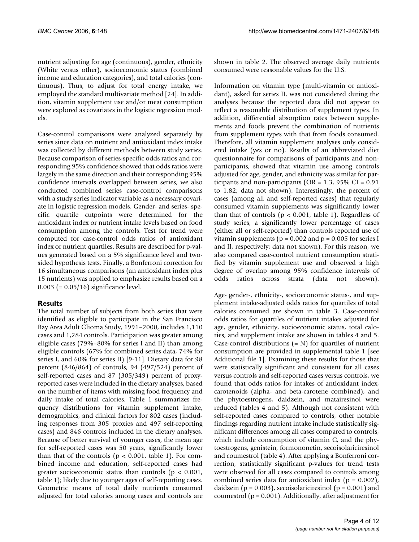nutrient adjusting for age (continuous), gender, ethnicity (White versus other), socioeconomic status (combined income and education categories), and total calories (continuous). Thus, to adjust for total energy intake, we employed the standard multivariate method [24]. In addition, vitamin supplement use and/or meat consumption were explored as covariates in the logistic regression models.

Case-control comparisons were analyzed separately by series since data on nutrient and antioxidant index intake was collected by different methods between study series. Because comparison of series-specific odds ratios and corresponding 95% confidence showed that odds ratios were largely in the same direction and their corresponding 95% confidence intervals overlapped between series, we also conducted combined series case-control comparisons with a study series indicator variable as a necessary covariate in logistic regression models. Gender- and series- specific quartile cutpoints were determined for the antioxidant index or nutrient intake levels based on food consumption among the controls. Test for trend were computed for case-control odds ratios of antioxidant index or nutrient quartiles. Results are described for p-values generated based on a 5% significance level and twosided hypothesis tests. Finally, a Bonferroni correction for 16 simultaneous comparisons (an antioxidant index plus 15 nutrients) was applied to emphasize results based on a 0.003 (= 0.05/16) significance level.

### **Results**

The total number of subjects from both series that were identified as eligible to participate in the San Francisco Bay Area Adult Glioma Study, 1991–2000, includes 1,110 cases and 1,284 controls. Participation was greater among eligible cases (79%–80% for series I and II) than among eligible controls (67% for combined series data, 74% for series I, and 60% for series II) [9-11]. Dietary data for 98 percent (846/864) of controls, 94 (497/524) percent of self-reported cases and 87 (305/349) percent of proxyreported cases were included in the dietary analyses, based on the number of items with missing food frequency and daily intake of total calories. Table 1 summarizes frequency distributions for vitamin supplement intake, demographics, and clinical factors for 802 cases (including responses from 305 proxies and 497 self-reporting cases) and 846 controls included in the dietary analyses. Because of better survival of younger cases, the mean age for self-reported cases was 50 years, significantly lower than that of the controls ( $p < 0.001$ , table 1). For combined income and education, self-reported cases had greater socioeconomic status than controls ( $p < 0.001$ , table 1); likely due to younger ages of self-reporting cases. Geometric means of total daily nutrients consumed adjusted for total calories among cases and controls are shown in table 2. The observed average daily nutrients consumed were reasonable values for the U.S.

Information on vitamin type (multi-vitamin or antioxidant), asked for series II, was not considered during the analyses because the reported data did not appear to reflect a reasonable distribution of supplement types. In addition, differential absorption rates between supplements and foods prevent the combination of nutrients from supplement types with that from foods consumed. Therefore, all vitamin supplement analyses only considered intake (yes or no). Results of an abbreviated diet questionnaire for comparisons of participants and nonparticipants, showed that vitamin use among controls adjusted for age, gender, and ethnicity was similar for participants and non-participants (OR =  $1.3$ , 95% CI =  $0.91$ to 1.82; data not shown). Interestingly, the percent of cases (among all and self-reported cases) that regularly consumed vitamin supplements was significantly lower than that of controls ( $p < 0.001$ , table 1). Regardless of study series, a significantly lower percentage of cases (either all or self-reported) than controls reported use of vitamin supplements ( $p = 0.002$  and  $p = 0.005$  for series I and II, respectively; data not shown). For this reason, we also compared case-control nutrient consumption stratified by vitamin supplement use and observed a high degree of overlap among 95% confidence intervals of odds ratios across strata (data not shown).

Age- gender-, ethnicity-, socioeconomic status-, and supplement intake-adjusted odds ratios for quartiles of total calories consumed are shown in table 3. Case-control odds ratios for quartiles of nutrient intakes adjusted for age, gender, ethnicity, socioeconomic status, total calories, and supplement intake are shown in tables 4 and 5. Case-control distributions  $(= N)$  for quartiles of nutrient consumption are provided in supplemental table 1 [see Additional file 1]. Examining these results for those that were statistically significant and consistent for all cases versus controls and self-reported cases versus controls, we found that odds ratios for intakes of antioxidant index, carotenoids (alpha- and beta-carotene combined), and the phytoestrogens, daidzein, and matairesinol were reduced (tables 4 and 5). Although not consistent with self-reported cases compared to controls, other notable findings regarding nutrient intake include statistically significant differences among all cases compared to controls, which include consumption of vitamin C, and the phytoestrogens, genistein, formononetin, secoisolariciresinol and coumestrol (table 4). After applying a Bonferroni correction, statistically significant p-values for trend tests were observed for all cases compared to controls among combined series data for antioxidant index  $(p = 0.002)$ , daidzein ( $p = 0.003$ ), secoisolariciresinol ( $p = 0.001$ ) and coumestrol ( $p = 0.001$ ). Additionally, after adjustment for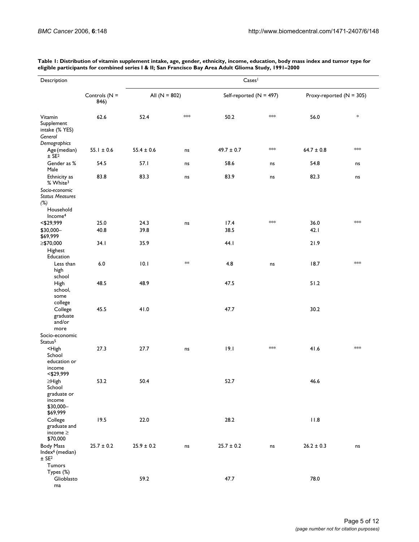| Description                                                                         |                         | Cases <sup>1</sup> |           |                           |      |                            |        |  |  |  |
|-------------------------------------------------------------------------------------|-------------------------|--------------------|-----------|---------------------------|------|----------------------------|--------|--|--|--|
|                                                                                     | Controls $(N =$<br>846) | All $(N = 802)$    |           | Self-reported $(N = 497)$ |      | Proxy-reported $(N = 305)$ |        |  |  |  |
| Vitamin<br>Supplement<br>intake (% YES)<br>General                                  | 62.6                    | 52.4               | $*$       | 50.2                      | $*$  | 56.0                       | $\ast$ |  |  |  |
| Demographics<br>Age (median)<br>$±$ SE <sup>2</sup>                                 | $55.1 \pm 0.6$          | $55.4 \pm 0.6$     | ns        | $49.7 \pm 0.7$            | $*$  | $64.7 \pm 0.8$             | $*$    |  |  |  |
| Gender as %<br>Male                                                                 | 54.5                    | 57.1               | ns        | 58.6                      | ns   | 54.8                       | ns     |  |  |  |
| Ethnicity as<br>% White <sup>3</sup>                                                | 83.8                    | 83.3               | ns        | 83.9                      | ns   | 82.3                       | ns     |  |  |  |
| Socio-economic<br><b>Status Measures</b><br>(%)<br>Household<br>Income <sup>4</sup> |                         |                    |           |                           |      |                            |        |  |  |  |
| $<$ \$29,999                                                                        | 25.0                    | 24.3               | ns        | 17.4                      | $**$ | 36.0                       | $*$    |  |  |  |
| \$30,000-                                                                           | 40.8                    | 39.8               |           | 38.5                      |      | 42.1                       |        |  |  |  |
| \$69,999<br>≥\$70,000                                                               | 34.1                    | 35.9               |           | 44.1                      |      | 21.9                       |        |  |  |  |
| Highest<br>Education                                                                |                         |                    |           |                           |      |                            |        |  |  |  |
| Less than<br>high<br>school                                                         | $6.0\,$                 | 10.1               | $*$       | 4.8                       | ns   | 18.7                       | $*$    |  |  |  |
| High<br>school,<br>some<br>college                                                  | 48.5                    | 48.9               |           | 47.5                      |      | 51.2                       |        |  |  |  |
| College<br>graduate<br>and/or<br>more                                               | 45.5                    | 41.0               |           | 47.7                      |      | 30.2                       |        |  |  |  |
| Socio-economic<br>Status <sup>5</sup>                                               |                         |                    |           |                           |      |                            |        |  |  |  |
| <high<br>School<br/>education or<br/>income</high<br>                               | 27.3                    | 27.7               | ns        | 9.1                       | $*$  | 41.6                       | $*$    |  |  |  |
| $<$ \$29,999<br>$\geq$ High                                                         | 53.2                    | 50.4               |           | 52.7                      |      | 46.6                       |        |  |  |  |
| School<br>graduate or<br>income<br>\$30,000-<br>\$69,999                            |                         |                    |           |                           |      |                            |        |  |  |  |
| College<br>graduate and<br>income $\geq$<br>\$70,000                                | 19.5                    | 22.0               |           | 28.2                      |      | 11.8                       |        |  |  |  |
| <b>Body Mass</b><br>Index <sup>6</sup> (median)<br>$\pm$ SE <sup>2</sup><br>Tumors  | $25.7 \pm 0.2$          | $25.9 \pm 0.2$     | $\sf{ns}$ | $25.7 \pm 0.2$            | ns   | $26.2 \pm 0.3$             | ns     |  |  |  |
| Types (%)<br>Glioblasto<br>ma                                                       |                         | 59.2               |           | 47.7                      |      | 78.0                       |        |  |  |  |

**Table 1: Distribution of vitamin supplement intake, age, gender, ethnicity, income, education, body mass index and tumor type for eligible participants for combined series I & II; San Francisco Bay Area Adult Glioma Study, 1991–2000**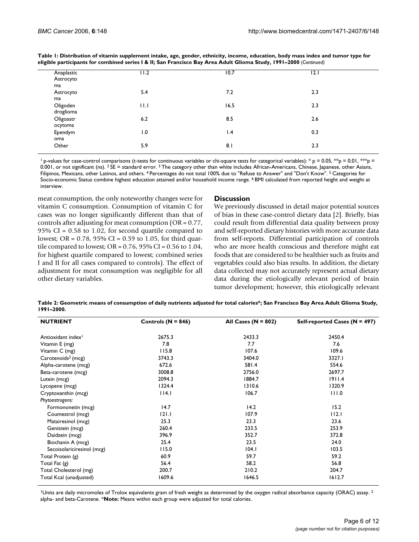| Anaplastic<br>Astrocyto | I I.2 | 10.7            | 12.1 |  |
|-------------------------|-------|-----------------|------|--|
| ma                      |       |                 |      |  |
| Astrocyto               | 5.4   | 7.2             | 2.3  |  |
| ma                      |       |                 |      |  |
| Oligoden                | 11.1  | 16.5            | 2.3  |  |
| droglioma               |       |                 |      |  |
| Oligoastr               | 6.2   | 8.5             | 2.6  |  |
| ocytoma                 |       |                 |      |  |
| Ependym                 | 1.0   | $\mathsf{I}$ .4 | 0.3  |  |
| oma                     |       |                 |      |  |
| Other                   | 5.9   | 8.1             | 2.3  |  |
|                         |       |                 |      |  |

**Table 1: Distribution of vitamin supplement intake, age, gender, ethnicity, income, education, body mass index and tumor type for eligible participants for combined series I & II; San Francisco Bay Area Adult Glioma Study, 1991–2000** *(Continued)*

<sup>1</sup> p-values for case-control comparisons (t-tests for continuous variables or chi-square tests for categorical variables): \* p = 0.05, \*\*p = 0.01, \*\*p = 0.001, or not significant (ns). <sup>2</sup> SE = standard error. <sup>3</sup> The category other than white includes African-Americans, Chinese, Japanese, other Asians, Filipinos, Mexicans, other Latinos, and others. 4 Percentages do not total 100% due to "Refuse to Answer" and "Don't Know". 5 Categories for Socio-economic Status combine highest education attained and/or household income range. <sup>6</sup> BMI calculated from reported height and weight at interview.

meat consumption, the only noteworthy changes were for vitamin C consumption. Consumption of vitamin C for cases was no longer significantly different than that of controls after adjusting for meat consumption (OR = 0.77, 95% CI = 0.58 to 1.02, for second quartile compared to lowest; OR =  $0.78$ , 95% CI =  $0.59$  to 1.05, for third quartile compared to lowest;  $OR = 0.76$ ,  $95\% CI = 0.56$  to 1.04, for highest quartile compared to lowest; combined series I and II for all cases compared to controls). The effect of adjustment for meat consumption was negligible for all other dietary variables.

#### **Discussion**

We previously discussed in detail major potential sources of bias in these case-control dietary data [2]. Briefly, bias could result from differential data quality between proxy and self-reported dietary histories with more accurate data from self-reports. Differential participation of controls who are more health conscious and therefore might eat foods that are considered to be healthier such as fruits and vegetables could also bias results. In addition, the dietary data collected may not accurately represent actual dietary data during the etiologically relevant period of brain tumor development; however, this etiologically relevant

**Table 2: Geometric means of consumption of daily nutrients adjusted for total calories\*; San Francisco Bay Area Adult Glioma Study, 1991–2000.**

| <b>NUTRIENT</b>                | Controls ( $N = 846$ ) | All Cases ( $N = 802$ ) | Self-reported Cases (N = 497) |
|--------------------------------|------------------------|-------------------------|-------------------------------|
| Antioxidant index <sup>1</sup> | 2675.3                 | 2433.3                  | 2450.4                        |
| Vitamin E (mg)                 | 7.8                    | 7.7                     | 7.6                           |
| Vitamin C (mg)                 | 115.8                  | 107.6                   | 109.6                         |
| Carotenoids <sup>2</sup> (mcg) | 3743.3                 | 3404.0                  | 3327.I                        |
| Alpha-carotene (mcg)           | 672.6                  | 581.4                   | 554.6                         |
| Beta-carotene (mcg)            | 3008.8                 | 2756.0                  | 2697.7                        |
| Lutein (mcg)                   | 2094.3                 | 1884.7                  | 1911.4                        |
| Lycopene (mcg)                 | 1324.4                 | 1310.6                  | 1320.9                        |
| Cryptoxanthin (mcg)            | 14.1                   | 106.7                   | 111.0                         |
| Phytoestrogens:                |                        |                         |                               |
| Formononetin (mcg)             | 14.7                   | 14.2                    | 15.2                          |
| Coumestrol (mcg)               | 121.1                  | 107.9                   | 112.1                         |
| Matairesinol (mcg)             | 25.3                   | 23.3                    | 23.6                          |
| Genistein (mcg)                | 260.4                  | 233.5                   | 253.9                         |
| Daidzein (mcg)                 | 396.9                  | 352.7                   | 372.8                         |
| Biochanin A (mcg)              | 25.4                   | 23.5                    | 24.0                          |
| Secoisolariciresinol (mcg)     | 115.0                  | 104.1                   | 103.5                         |
| Total Protein (g)              | 60.9                   | 59.7                    | 59.2                          |
| Total Fat (g)                  | 56.4                   | 58.2                    | 56.8                          |
| Total Cholesterol (mg)         | 200.7                  | 210.2                   | 204.7                         |
| Total Kcal (unadjusted)        | 1609.6                 | 1646.5                  | 1612.7                        |

<sup>1</sup>Units are daily micromoles of Trolox equivalents gram of fresh weight as determined by the oxygen radical absorbance capacity (ORAC) assay.<sup>2</sup> alpha- and beta-Carotene. \***Note:** Means within each group were adjusted for total calories.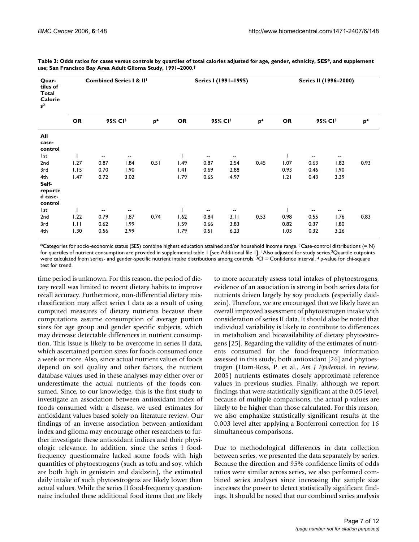| Quar-<br>tiles of<br>Total<br>Calorie<br>$s^2$ |                                  | <b>Combined Series I &amp; II<sup>I</sup></b> |                          |           |                     | Series I (1991-1995)     |                          |           |                     | Series II (1996-2000)    |                          |      |  |  |
|------------------------------------------------|----------------------------------|-----------------------------------------------|--------------------------|-----------|---------------------|--------------------------|--------------------------|-----------|---------------------|--------------------------|--------------------------|------|--|--|
|                                                | <b>OR</b><br>95% CI <sup>3</sup> |                                               | p <sup>4</sup>           | <b>OR</b> | 95% CI <sup>3</sup> |                          | p <sup>4</sup>           | <b>OR</b> | 95% CI <sup>3</sup> |                          | p <sup>4</sup>           |      |  |  |
| All<br>case-<br>control                        |                                  |                                               |                          |           |                     |                          |                          |           |                     |                          |                          |      |  |  |
| l st                                           |                                  | $\overline{\phantom{a}}$                      | $\overline{\phantom{a}}$ |           |                     | $\overline{\phantom{a}}$ | $\overline{\phantom{a}}$ |           | I                   | --                       | $\overline{\phantom{a}}$ |      |  |  |
| 2nd                                            | 1.27                             | 0.87                                          | 1.84                     | 0.51      | 1.49                | 0.87                     | 2.54                     | 0.45      | 1.07                | 0.63                     | 1.82                     | 0.93 |  |  |
| 3rd                                            | 1.15                             | 0.70                                          | 1.90                     |           | .4                  | 0.69                     | 2.88                     |           | 0.93                | 0.46                     | 1.90                     |      |  |  |
| 4th<br>Self-<br>reporte<br>d case-<br>control  | 1.47                             | 0.72                                          | 3.02                     |           | 1.79                | 0.65                     | 4.97                     |           | 1.21                | 0.43                     | 3.39                     |      |  |  |
| l st                                           |                                  | $\overline{\phantom{a}}$                      | $\overline{\phantom{a}}$ |           |                     | $\overline{\phantom{a}}$ | $\overline{\phantom{a}}$ |           |                     | $\overline{\phantom{a}}$ | $\overline{\phantom{a}}$ |      |  |  |
| 2nd                                            | 1.22                             | 0.79                                          | 1.87                     | 0.74      | 1.62                | 0.84                     | 3.11                     | 0.53      | 0.98                | 0.55                     | 1.76                     | 0.83 |  |  |
| 3rd                                            | 1.11                             | 0.62                                          | 1.99                     |           | 1.59                | 0.66                     | 3.83                     |           | 0.82                | 0.37                     | 1.80                     |      |  |  |
| 4th                                            | 1.30                             | 0.56                                          | 2.99                     |           | 1.79                | 0.51                     | 6.23                     |           | 1.03                | 0.32                     | 3.26                     |      |  |  |

**Table 3: Odds ratios for cases versus controls by quartiles of total calories adjusted for age, gender, ethnicity, SES\*, and supplement use; San Francisco Bay Area Adult Glioma Study, 1991–2000.†**

\*Categories for socio-economic status (SES) combine highest education attained and/or household income range. †Case-control distributions (= N) for quartiles of nutrient consumption are provided in supplemental table | [see Additional file |]. <sup>|</sup>Also adjusted for study series.<sup>2</sup>Quartile cutpoints were calculated from series- and gender-specific nutrient intake distributions among controls. <sup>3</sup>CI = Confidence interval. <sup>4</sup> p-value for chi-square test for trend.

time period is unknown. For this reason, the period of dietary recall was limited to recent dietary habits to improve recall accuracy. Furthermore, non-differential dietary misclassification may affect series I data as a result of using computed measures of dietary nutrients because these computations assume consumption of average portion sizes for age group and gender specific subjects, which may decrease detectable differences in nutrient consumption. This issue is likely to be overcome in series II data, which ascertained portion sizes for foods consumed once a week or more. Also, since actual nutrient values of foods depend on soil quality and other factors, the nutrient database values used in these analyses may either over or underestimate the actual nutrients of the foods consumed. Since, to our knowledge, this is the first study to investigate an association between antioxidant index of foods consumed with a disease, we used estimates for antioxidant values based solely on literature review. Our findings of an inverse association between antioxidant index and glioma may encourage other researchers to further investigate these antioxidant indices and their physiologic relevance. In addition, since the series I foodfrequency questionnaire lacked some foods with high quantities of phytoestrogens (such as tofu and soy, which are both high in genistein and daidzein), the estimated daily intake of such phytoestrogens are likely lower than actual values. While the series II food-frequency questionnaire included these additional food items that are likely to more accurately assess total intakes of phytoestrogens, evidence of an association is strong in both series data for nutrients driven largely by soy products (especially daidzein). Therefore, we are encouraged that we likely have an overall improved assessment of phytoestrogen intake with consideration of series II data. It should also be noted that individual variability is likely to contribute to differences in metabolism and bioavailability of dietary phytoestrogens [25]. Regarding the validity of the estimates of nutrients consumed for the food-frequency information assessed in this study, both antioxidant [26] and phytoestrogen (Horn-Ross, P. et al., *Am J Epidemiol*, in review, 2005) nutrients estimates closely approximate reference values in previous studies. Finally, although we report findings that were statistically significant at the 0.05 level, because of multiple comparisons, the actual p-values are likely to be higher than those calculated. For this reason, we also emphasize statistically significant results at the 0.003 level after applying a Bonferroni correction for 16 simultaneous comparisons.

Due to methodological differences in data collection between series, we presented the data separately by series. Because the direction and 95% confidence limits of odds ratios were similar across series, we also performed combined series analyses since increasing the sample size increases the power to detect statistically significant findings. It should be noted that our combined series analysis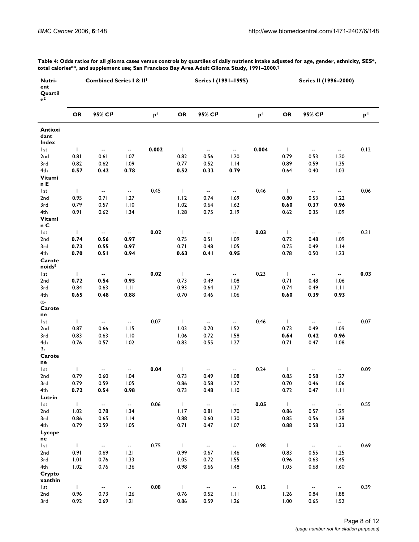| Nutri-<br>ent<br>Quartil<br>$e^2$ |              | <b>Combined Series I &amp; II'</b> |                          |                |              | Series I (1991-1995)     |                          |                |              | Series II (1996-2000)          |                          |                |  |
|-----------------------------------|--------------|------------------------------------|--------------------------|----------------|--------------|--------------------------|--------------------------|----------------|--------------|--------------------------------|--------------------------|----------------|--|
|                                   | OR           | 95% CI3                            |                          | p <sup>4</sup> | <b>OR</b>    | 95% CI3                  |                          | p <sup>4</sup> | OR           | 95% CI3                        |                          | p <sup>4</sup> |  |
| Antioxi<br>dant<br>Index          |              |                                    |                          |                |              |                          |                          |                |              |                                |                          |                |  |
| l st                              | $\mathbf{I}$ | -−                                 | $\overline{\phantom{a}}$ | 0.002          | $\mathbf{I}$ | $\sim$                   | $\overline{\phantom{a}}$ | 0.004          | $\mathbf{I}$ | $\overline{\phantom{a}}$       | $\overline{\phantom{a}}$ | 0.12           |  |
| 2 <sub>nd</sub>                   | 0.81         | 0.61                               | 1.07                     |                | 0.82         | 0.56                     | 1.20                     |                | 0.79         | 0.53                           | 1.20                     |                |  |
| 3rd                               | 0.82         | 0.62                               | 1.09                     |                | 0.77         | 0.52                     | 1.14                     |                | 0.89         | 0.59                           | 1.35                     |                |  |
| 4th                               | 0.57         | 0.42                               | 0.78                     |                | 0.52         | 0.33                     | 0.79                     |                | 0.64         | 0.40                           | 1.03                     |                |  |
| Vitami<br>n E                     |              |                                    |                          |                |              |                          |                          |                |              |                                |                          |                |  |
| l st                              | $\mathbf{I}$ | --                                 | $\sim$                   | 0.45           | $\mathbf{I}$ | $\sim$                   | $\sim$                   | 0.46           | $\mathbf{L}$ | $\sim$                         | $\overline{\phantom{a}}$ | 0.06           |  |
| 2nd                               | 0.95         | 0.71                               | 1.27                     |                | 1.12         | 0.74                     | 1.69                     |                | 0.80         | 0.53                           | 1.22                     |                |  |
| 3rd                               | 0.79         | 0.57                               | 1.10                     |                | 1.02         | 0.64                     | 1.62                     |                | 0.60         | 0.37                           | 0.96                     |                |  |
| 4th<br>Vitami<br>n C              | 0.91         | 0.62                               | 1.34                     |                | 1.28         | 0.75                     | 2.19                     |                | 0.62         | 0.35                           | 1.09                     |                |  |
| l st                              | $\mathbf{I}$ | −−                                 | $\sim$                   | 0.02           | $\mathbf{L}$ | $\overline{\phantom{a}}$ | $\overline{\phantom{a}}$ | 0.03           | $\mathbf{L}$ | $\textcolor{red}{\textbf{--}}$ | $\overline{\phantom{a}}$ | 0.31           |  |
| 2nd                               | 0.74         | 0.56                               | 0.97                     |                | 0.75         | 0.51                     | 1.09                     |                | 0.72         | 0.48                           | 1.09                     |                |  |
| 3rd                               | 0.73         | 0.55                               | 0.97                     |                | 0.71         | 0.48                     | 1.05                     |                | 0.75         | 0.49                           | 1.14                     |                |  |
| 4th                               | 0.70         | 0.51                               | 0.94                     |                | 0.63         | 0.41                     | 0.95                     |                | 0.78         | 0.50                           | 1.23                     |                |  |
| Carote<br>noids <sup>5</sup>      |              |                                    |                          |                |              |                          |                          |                |              |                                |                          |                |  |
| l st                              | $\mathbf{I}$ | $\overline{\phantom{a}}$           | $\overline{\phantom{a}}$ | 0.02           | $\mathbf{I}$ | $\overline{\phantom{a}}$ | $\sim$                   | 0.23           | $\mathbf{I}$ | $\overline{\phantom{a}}$       | $\overline{\phantom{a}}$ | 0.03           |  |
| 2 <sub>nd</sub>                   | 0.72         | 0.54                               | 0.95                     |                | 0.73         | 0.49                     | 1.08                     |                | 0.71         | 0.48                           | 1.06                     |                |  |
| 3rd<br>4th                        | 0.84<br>0.65 | 0.63<br>0.48                       | 1.11<br>0.88             |                | 0.93<br>0.70 | 0.64<br>0.46             | 1.37<br>1.06             |                | 0.74<br>0.60 | 0.49<br>0.39                   | 1.11<br>0.93             |                |  |
| $\alpha$ -                        |              |                                    |                          |                |              |                          |                          |                |              |                                |                          |                |  |
| Carote<br>ne                      |              |                                    |                          |                |              |                          |                          |                |              |                                |                          |                |  |
| l st                              | $\mathbf{I}$ | $\overline{\phantom{a}}$           | $\overline{\phantom{a}}$ | 0.07           | $\mathbf{I}$ | $\overline{\phantom{a}}$ | $\sim$                   | 0.46           | $\mathbf{I}$ | $\overline{\phantom{a}}$       | $\overline{\phantom{a}}$ | 0.07           |  |
| 2 <sub>nd</sub>                   | 0.87         | 0.66                               | 1.15                     |                | 1.03         | 0.70                     | 1.52                     |                | 0.73         | 0.49                           | 1.09                     |                |  |
| 3rd                               | 0.83         | 0.63                               | 1.10                     |                | 1.06         | 0.72                     | 1.58                     |                | 0.64         | 0.42                           | 0.96                     |                |  |
| 4th                               | 0.76         | 0.57                               | 1.02                     |                | 0.83         | 0.55                     | 1.27                     |                | 0.71         | 0.47                           | 1.08                     |                |  |
| $\beta$ -<br>Carote<br>ne         |              |                                    |                          |                |              |                          |                          |                |              |                                |                          |                |  |
| l st                              | $\mathbf{I}$ | --                                 |                          | 0.04           | $\mathbf{I}$ | --                       | --                       | 0.24           | T            | --                             | --                       | 0.09           |  |
| 2nd                               | 0.79         | 0.60                               | 1.04                     |                | 0.73         | 0.49                     | 1.08                     |                | 0.85         | 0.58                           | 1.27                     |                |  |
| 3rd                               | 0.79         | 0.59                               | 1.05                     |                | 0.86         | 0.58                     | 1.27                     |                | 0.70         | 0.46                           | 1.06                     |                |  |
| 4th                               | 0.72         | 0.54                               | 0.98                     |                | 0.73         | 0.48                     | 1.10                     |                | 0.72         | 0.47                           | 1.11                     |                |  |
| Lutein                            |              |                                    |                          |                |              |                          |                          |                |              |                                |                          |                |  |
| Ist                               | $\mathbf{I}$ | ⊷                                  | --                       | 0.06           | $\mathbf{I}$ | $\sim$                   | $\blacksquare$           | 0.05           | $\mathbf{I}$ | $\overline{\phantom{a}}$       | $\overline{\phantom{a}}$ | 0.55           |  |
| 2nd<br>3rd                        | 1.02<br>0.86 | 0.78<br>0.65                       | 1.34                     |                | 1.17<br>0.88 | 0.81<br>0.60             | 1.70                     |                | 0.86<br>0.85 | 0.57<br>0.56                   | 1.29                     |                |  |
| 4th                               | 0.79         | 0.59                               | 1.14<br>1.05             |                | 0.71         | 0.47                     | 1.30<br>1.07             |                | 0.88         | 0.58                           | 1.28<br>1.33             |                |  |
| Lycope<br>ne                      |              |                                    |                          |                |              |                          |                          |                |              |                                |                          |                |  |
| Ist                               | $\mathbf I$  | --                                 | ⊷                        | 0.75           | $\mathbf{I}$ | щ.                       | $\overline{\phantom{a}}$ | 0.98           | $\mathbf{I}$ | ۰.                             | $\overline{\phantom{a}}$ | 0.69           |  |
| 2nd                               | 0.91         | 0.69                               | 1.21                     |                | 0.99         | 0.67                     | 1.46                     |                | 0.83         | 0.55                           | 1.25                     |                |  |
| 3rd                               | 1.01         | 0.76                               | 1.33                     |                | 1.05         | 0.72                     | 1.55                     |                | 0.96         | 0.63                           | 1.45                     |                |  |
| 4th                               | 1.02         | 0.76                               | 1.36                     |                | 0.98         | 0.66                     | 1.48                     |                | 1.05         | 0.68                           | 1.60                     |                |  |
| Crypto<br>xanthin                 |              |                                    |                          |                |              |                          |                          |                |              |                                |                          |                |  |
| Ist                               | $\mathbf{I}$ | $\overline{\phantom{a}}$           | --                       | 0.08           | $\mathbf{I}$ | $\overline{\phantom{a}}$ | --                       | 0.12           | $\mathbf{I}$ | $\overline{\phantom{a}}$       | $\overline{\phantom{a}}$ | 0.39           |  |
| 2 <sub>nd</sub>                   | 0.96         | 0.73                               | 1.26                     |                | 0.76         | 0.52                     | 1.11                     |                | 1.26         | 0.84                           | 1.88                     |                |  |
| 3rd                               | 0.92         | 0.69                               | 1.21                     |                | 0.86         | 0.59                     | 1.26                     |                | 1.00         | 0.65                           | 1.52                     |                |  |

**Table 4: Odds ratios for all glioma cases versus controls by quartiles of daily nutrient intake adjusted for age, gender, ethnicity, SES\*, total calories\*\*, and supplement use; San Francisco Bay Area Adult Glioma Study, 1991–2000.†**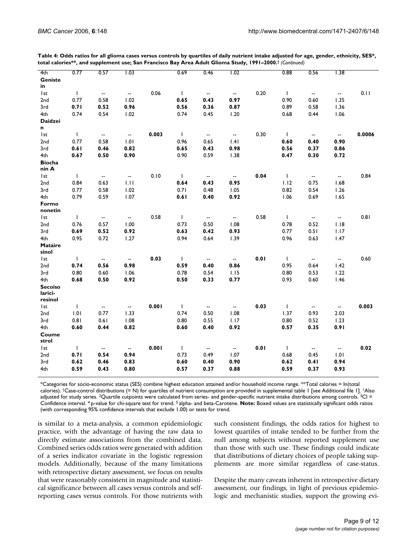| 4th                     | 0.77         | 0.57                     | 1.03                     |       | 0.69         | 0.46                     | 1.02                     |      | 0.88         | 0.56                     | 1.38                     |        |
|-------------------------|--------------|--------------------------|--------------------------|-------|--------------|--------------------------|--------------------------|------|--------------|--------------------------|--------------------------|--------|
| Geniste                 |              |                          |                          |       |              |                          |                          |      |              |                          |                          |        |
| in                      |              |                          |                          |       |              |                          |                          |      |              |                          |                          |        |
| l st                    | $\mathbf{I}$ | --                       | $\overline{\phantom{a}}$ | 0.06  | $\mathbf{I}$ | $\overline{\phantom{a}}$ | $\overline{\phantom{a}}$ | 0.20 | $\mathbf{I}$ | $\overline{\phantom{a}}$ | $\overline{\phantom{a}}$ | 0.11   |
| 2nd                     | 0.77         | 0.58                     | 1.02                     |       | 0.65         | 0.43                     | 0.97                     |      | 0.90         | 0.60                     | 1.35                     |        |
| 3rd                     | 0.71         | 0.52                     | 0.96                     |       | 0.56         | 0.36                     | 0.87                     |      | 0.89         | 0.58                     | 1.36                     |        |
| 4th                     | 0.74         | 0.54                     | 1.02                     |       | 0.74         | 0.45                     | 1.20                     |      | 0.68         | 0.44                     | 1.06                     |        |
| <b>Daidzei</b>          |              |                          |                          |       |              |                          |                          |      |              |                          |                          |        |
| n                       |              |                          |                          |       |              |                          |                          |      |              |                          |                          |        |
| l st                    | $\mathbf{I}$ | $\overline{\phantom{a}}$ | $\overline{\phantom{a}}$ | 0.003 | $\mathbf{I}$ | $\overline{\phantom{a}}$ | $\overline{\phantom{a}}$ | 0.30 | $\mathbf{L}$ | $\overline{\phantom{a}}$ | $\overline{\phantom{a}}$ | 0.0006 |
| 2nd                     | 0.77         | 0.58                     | 1.01                     |       | 0.96         | 0.65                     | .4                       |      | 0.60         | 0.40                     | 0.90                     |        |
| 3rd                     | 0.61         | 0.46                     | 0.82                     |       | 0.65         | 0.43                     | 0.98                     |      | 0.56         | 0.37                     | 0.86                     |        |
| 4th                     | 0.67         | 0.50                     | 0.90                     |       | 0.90         | 0.59                     | 1.38                     |      | 0.47         | 0.30                     | 0.72                     |        |
| <b>Biocha</b>           |              |                          |                          |       |              |                          |                          |      |              |                          |                          |        |
| nin A                   |              |                          |                          |       |              |                          |                          |      |              |                          |                          |        |
| I <sub>st</sub>         | $\mathbf{I}$ | $\overline{\phantom{a}}$ | $\overline{\phantom{a}}$ | 0.10  | $\mathbf{L}$ | $\overline{\phantom{a}}$ | $\overline{\phantom{a}}$ | 0.04 | $\mathbf{I}$ | $\overline{\phantom{a}}$ | $\overline{\phantom{a}}$ | 0.84   |
| 2nd                     | 0.84         | 0.63                     | 1.11                     |       | 0.64         | 0.43                     | 0.95                     |      | 1.12         | 0.75                     | 1.68                     |        |
| 3rd                     | 0.77         | 0.58                     | 1.02                     |       | 0.71         | 0.48                     | 1.05                     |      | 0.82         | 0.54                     | 1.26                     |        |
| 4th                     | 0.79         | 0.59                     | 1.07                     |       | 0.61         | 0.40                     | 0.92                     |      | 1.06         | 0.69                     | 1.65                     |        |
| Formo                   |              |                          |                          |       |              |                          |                          |      |              |                          |                          |        |
| nonetin                 |              |                          |                          |       |              |                          |                          |      |              |                          |                          |        |
| I <sub>st</sub>         | $\mathbf{I}$ | --                       | $\overline{\phantom{a}}$ | 0.58  | $\mathbf{I}$ | $\overline{\phantom{a}}$ | $\overline{\phantom{a}}$ | 0.58 | $\mathbf{I}$ | $\overline{\phantom{a}}$ | $\overline{\phantom{a}}$ | 0.81   |
| 2nd                     | 0.76         | 0.57                     | 1.00                     |       | 0.73         | 0.50                     | 1.08                     |      | 0.78         | 0.52                     | 1.18                     |        |
| 3rd                     | 0.69         | 0.52                     | 0.92                     |       | 0.63         | 0.42                     | 0.93                     |      | 0.77         | 0.51                     | 1.17                     |        |
| 4th                     | 0.95         | 0.72                     | 1.27                     |       | 0.94         | 0.64                     | 1.39                     |      | 0.96         | 0.63                     | 1.47                     |        |
| <b>Mataire</b><br>sinol |              |                          |                          |       |              |                          |                          |      |              |                          |                          |        |
| l st                    | $\mathbf{I}$ | $\overline{\phantom{a}}$ | $\overline{\phantom{a}}$ | 0.03  | $\mathbf{I}$ | $\overline{\phantom{a}}$ | $\overline{\phantom{a}}$ | 0.01 | $\mathbf{I}$ | $\overline{\phantom{a}}$ | $\overline{\phantom{a}}$ | 0.60   |
| 2nd                     | 0.74         | 0.56                     | 0.98                     |       | 0.59         | 0.40                     | 0.86                     |      | 0.95         | 0.64                     | 1.42                     |        |
| 3rd                     | 0.80         | 0.60                     | 1.06                     |       | 0.78         | 0.54                     | 1.15                     |      | 0.80         | 0.53                     | 1.22                     |        |
| 4th                     | 0.68         | 0.50                     | 0.92                     |       | 0.50         | 0.33                     | 0.77                     |      | 0.93         | 0.60                     | 1.46                     |        |
| <b>Secoiso</b>          |              |                          |                          |       |              |                          |                          |      |              |                          |                          |        |
| larici-                 |              |                          |                          |       |              |                          |                          |      |              |                          |                          |        |
| resinol                 |              |                          |                          |       |              |                          |                          |      |              |                          |                          |        |
| l st                    | $\mathbf{I}$ | $\overline{\phantom{a}}$ | $\overline{\phantom{a}}$ | 0.001 | $\mathbf{I}$ | $\overline{\phantom{a}}$ | --                       | 0.03 | $\mathbf{I}$ | $\overline{\phantom{a}}$ | $\overline{\phantom{a}}$ | 0.003  |
| 2nd                     | 1.01         | 0.77                     | 1.33                     |       | 0.74         | 0.50                     | 1.08                     |      | 1.37         | 0.93                     | 2.03                     |        |
| 3rd                     | 0.81         | 0.61                     | 1.08                     |       | 0.80         | 0.55                     | 1.17                     |      | 0.80         | 0.52                     | 1.23                     |        |
| 4th                     | 0.60         | 0.44                     | 0.82                     |       | 0.60         | 0.40                     | 0.92                     |      | 0.57         | 0.35                     | 0.91                     |        |
| Coume                   |              |                          |                          |       |              |                          |                          |      |              |                          |                          |        |
| strol                   |              |                          |                          |       |              |                          |                          |      |              |                          |                          |        |
| l st                    | $\mathbf{I}$ | -−                       | $\overline{\phantom{a}}$ | 0.001 | $\mathbf{I}$ | $\overline{\phantom{a}}$ | $\overline{\phantom{a}}$ | 0.01 | $\mathbf{L}$ | $\overline{\phantom{a}}$ | $\overline{\phantom{a}}$ | 0.02   |
| 2nd                     | 0.71         | 0.54                     | 0.94                     |       | 0.73         | 0.49                     | 1.07                     |      | 0.68         | 0.45                     | 1.01                     |        |
| 3rd                     | 0.62         | 0.46                     | 0.83                     |       | 0.60         | 0.40                     | 0.90                     |      | 0.62         | 0.41                     | 0.94                     |        |
| 4th                     | 0.59         | 0.43                     | 0.80                     |       | 0.57         | 0.37                     | 0.88                     |      | 0.59         | 0.37                     | 0.93                     |        |

**Table 4: Odds ratios for all glioma cases versus controls by quartiles of daily nutrient intake adjusted for age, gender, ethnicity, SES\*, total calories\*\*, and supplement use; San Francisco Bay Area Adult Glioma Study, 1991–2000.†** *(Continued)*

\*Categories for socio-economic status (SES) combine highest education attained and/or household income range. \*\*Total calories = ln(total calories). †Case-control distributions (= N) for quartiles of nutrient consumption are provided in supplemental table 1 [see Additional file 1]. 1Also adjusted for study series. <sup>2</sup>Quartile cutpoints were calculated from series- and gender-specific nutrient intake distributions among controls. <sup>3</sup>CI = Confidence interval. 4 p-value for chi-square test for trend. 5 alpha- and beta-Carotene. **Note:** Boxed values are statistically significant odds ratios (with corresponding 95% confidence intervals that exclude 1.00) or tests for trend.

is similar to a meta-analysis, a common epidemiologic practice, with the advantage of having the raw data to directly estimate associations from the combined data. Combined series odds ratios were generated with addition of a series indicator covariate in the logistic regression models. Additionally, because of the many limitations with retrospective dietary assessment, we focus on results that were reasonably consistent in magnitude and statistical significance between all cases versus controls and selfreporting cases versus controls. For those nutrients with

such consistent findings, the odds ratios for highest to lowest quartiles of intake tended to be further from the null among subjects without reported supplement use than those with such use. These findings could indicate that distributions of dietary choices of people taking supplements are more similar regardless of case-status.

Despite the many caveats inherent in retrospective dietary assessment, our findings, in light of previous epidemiologic and mechanistic studies, support the growing evi-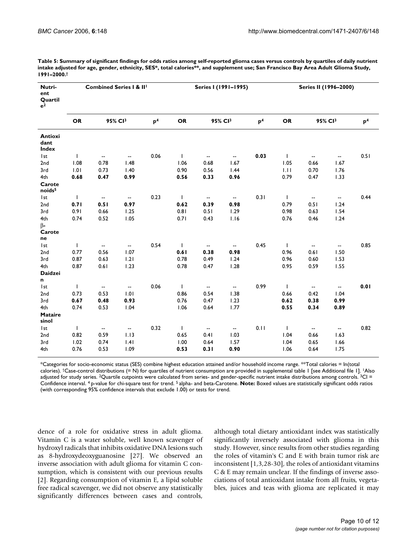| Nutri-<br>ent<br>Quartil<br>e <sup>2</sup> |              | Combined Series I & III  |                          |                |              |                          | Series I (1991-1995)                          |                | Series II (1996-2000) |                          |                          |                |  |
|--------------------------------------------|--------------|--------------------------|--------------------------|----------------|--------------|--------------------------|-----------------------------------------------|----------------|-----------------------|--------------------------|--------------------------|----------------|--|
|                                            | <b>OR</b>    |                          | 95% CI3                  | p <sup>4</sup> | <b>OR</b>    |                          | 95% CI3                                       | p <sup>4</sup> | <b>OR</b>             |                          | 95% Cl <sup>3</sup>      | p <sup>4</sup> |  |
| <b>Antioxi</b><br>dant<br><b>Index</b>     |              |                          |                          |                |              |                          |                                               |                |                       |                          |                          |                |  |
| l st                                       | $\mathbf{I}$ | $\overline{\phantom{a}}$ | $\overline{\phantom{a}}$ | 0.06           | $\mathbf{I}$ | $\sim$                   | $\mathord{\hspace{1pt}\text{--}\hspace{1pt}}$ | 0.03           | $\mathbf{I}$          | $\overline{\phantom{a}}$ | $\overline{\phantom{a}}$ | 0.51           |  |
| 2nd                                        | 1.08         | 0.78                     | 1.48                     |                | 1.06         | 0.68                     | 1.67                                          |                | 1.05                  | 0.66                     | 1.67                     |                |  |
| 3rd                                        | 1.01         | 0.73                     | 1.40                     |                | 0.90         | 0.56                     | 1.44                                          |                | 1.11                  | 0.70                     | 1.76                     |                |  |
| 4th                                        | 0.68         | 0.47                     | 0.99                     |                | 0.56         | 0.33                     | 0.96                                          |                | 0.79                  | 0.47                     | 1.33                     |                |  |
| Carote<br>noids <sup>5</sup>               |              |                          |                          |                |              |                          |                                               |                |                       |                          |                          |                |  |
| I <sub>st</sub>                            | $\mathsf{I}$ | $\overline{\phantom{a}}$ | $\overline{\phantom{a}}$ | 0.23           | $\mathbf{I}$ | $\overline{\phantom{a}}$ | $\overline{\phantom{a}}$                      | 0.31           | Τ.                    | $\overline{\phantom{a}}$ | $\overline{\phantom{a}}$ | 0.44           |  |
| 2nd                                        | 0.71         | 0.51                     | 0.97                     |                | 0.62         | 0.39                     | 0.98                                          |                | 0.79                  | 0.51                     | 1.24                     |                |  |
| 3rd                                        | 0.91         | 0.66                     | 1.25                     |                | 0.81         | 0.51                     | 1.29                                          |                | 0.98                  | 0.63                     | 1.54                     |                |  |
| 4th                                        | 0.74         | 0.52                     | 1.05                     |                | 0.71         | 0.43                     | 1.16                                          |                | 0.76                  | 0.46                     | 1.24                     |                |  |
| $\beta$ -                                  |              |                          |                          |                |              |                          |                                               |                |                       |                          |                          |                |  |
| Carote                                     |              |                          |                          |                |              |                          |                                               |                |                       |                          |                          |                |  |
| ne                                         |              |                          |                          |                |              |                          |                                               |                |                       |                          |                          |                |  |
| l st                                       | L            | $\overline{\phantom{a}}$ | $\overline{\phantom{a}}$ | 0.54           | $\mathbf{I}$ | $\overline{\phantom{a}}$ | $\overline{\phantom{a}}$                      | 0.45           | $\mathsf{I}$          | $\overline{\phantom{a}}$ | $\overline{\phantom{a}}$ | 0.85           |  |
| 2nd                                        | 0.77         | 0.56                     | 1.07                     |                | 0.61         | 0.38                     | 0.98                                          |                | 0.96                  | 0.61                     | 1.50                     |                |  |
| 3rd                                        | 0.87         | 0.63                     | 1.21                     |                | 0.78         | 0.49                     | 1.24                                          |                | 0.96                  | 0.60                     | 1.53                     |                |  |
| 4th                                        | 0.87         | 0.61                     | 1.23                     |                | 0.78         | 0.47                     | 1.28                                          |                | 0.95                  | 0.59                     | 1.55                     |                |  |
| <b>Daidzei</b>                             |              |                          |                          |                |              |                          |                                               |                |                       |                          |                          |                |  |
| n                                          |              |                          |                          |                |              |                          |                                               |                |                       |                          |                          |                |  |
| l st                                       | T            | $\overline{\phantom{a}}$ | $\overline{\phantom{a}}$ | 0.06           | $\mathbf{I}$ | $\overline{\phantom{a}}$ | $\overline{\phantom{a}}$                      | 0.99           | $\mathsf{I}$          | $\overline{\phantom{a}}$ | $\overline{\phantom{a}}$ | 0.01           |  |
| 2nd                                        | 0.73         | 0.53                     | 1.01                     |                | 0.86         | 0.54                     | 1.38                                          |                | 0.66                  | 0.42                     | 1.04                     |                |  |
| 3rd                                        | 0.67         | 0.48                     | 0.93                     |                | 0.76         | 0.47                     | 1.23                                          |                | 0.62                  | 0.38                     | 0.99                     |                |  |
| 4th                                        | 0.74         | 0.53                     | 1.04                     |                | 1.06         | 0.64                     | 1.77                                          |                | 0.55                  | 0.34                     | 0.89                     |                |  |
| <b>Mataire</b><br>sinol                    |              |                          |                          |                |              |                          |                                               |                |                       |                          |                          |                |  |
| Ist                                        | $\mathbf{I}$ | $\overline{\phantom{a}}$ | $\overline{\phantom{a}}$ | 0.32           | $\mathbf{I}$ | $\overline{\phantom{a}}$ | $\overline{\phantom{a}}$                      | 0.11           | $\mathsf{I}$          | $\overline{\phantom{a}}$ | $\overline{\phantom{a}}$ | 0.82           |  |
| 2nd                                        | 0.82         | 0.59                     | 1.13                     |                | 0.65         | 0.41                     | 1.03                                          |                | 1.04                  | 0.66                     | 1.63                     |                |  |
| 3rd                                        | 1.02         | 0.74                     | .4                       |                | 1.00         | 0.64                     | 1.57                                          |                | 1.04                  | 0.65                     | 1.66                     |                |  |
| 4th                                        | 0.76         | 0.53                     | 1.09                     |                | 0.53         | 0.31                     | 0.90                                          |                | 1.06                  | 0.64                     | 1.75                     |                |  |

**Table 5: Summary of significant findings for odds ratios among self-reported glioma cases versus controls by quartiles of daily nutrient intake adjusted for age, gender, ethnicity, SES\*, total calories\*\*, and supplement use; San Francisco Bay Area Adult Glioma Study, 1991–2000.†**

\*Categories for socio-economic status (SES) combine highest education attained and/or household income range. \*\*Total calories = ln(total calories). †Case-control distributions (= N) for quartiles of nutrient consumption are provided in supplemental table 1 [see Additional file 1]. 1Also adjusted for study series. <sup>2</sup>Quartile cutpoints were calculated from series- and gender-specific nutrient intake distributions among controls. <sup>3</sup>CI = Confidence interval. 4 p-value for chi-square test for trend. 5 alpha- and beta-Carotene. **Note:** Boxed values are statistically significant odds ratios (with corresponding 95% confidence intervals that exclude 1.00) or tests for trend.

dence of a role for oxidative stress in adult glioma. Vitamin C is a water soluble, well known scavenger of hydroxyl radicals that inhibits oxidative DNA lesions such as 8-hydroxydeoxyguanosine [27]. We observed an inverse association with adult glioma for vitamin C consumption, which is consistent with our previous results [2]. Regarding consumption of vitamin E, a lipid soluble free radical scavenger, we did not observe any statistically significantly differences between cases and controls,

although total dietary antioxidant index was statistically significantly inversely associated with glioma in this study. However, since results from other studies regarding the roles of vitamin's C and E with brain tumor risk are inconsistent [1,3,28-30], the roles of antioxidant vitamins C & E may remain unclear. If the findings of inverse associations of total antioxidant intake from all fruits, vegetables, juices and teas with glioma are replicated it may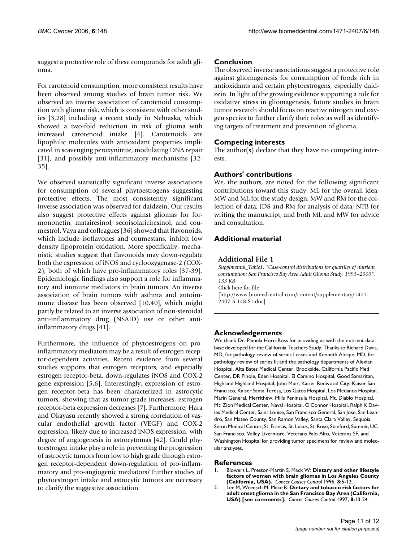suggest a protective role of these compounds for adult glioma.

For carotenoid consumption, more consistent results have been observed among studies of brain tumor risk. We observed an inverse association of carotenoid consumption with glioma risk, which is consistent with other studies [3,28] including a recent study in Nebraska, which showed a two-fold reduction in risk of glioma with increased carotenoid intake [4]. Carotenoids are lipophilic molecules with antioxidant properties implicated in scavenging peroxynitrite, modulating DNA repair [31], and possibly anti-inflammatory mechanisms [32- 35].

We observed statistically significant inverse associations for consumption of several phytoestrogens suggesting protective effects. The most consistently significant inverse association was observed for daidzein. Our results also suggest protective effects against gliomas for formononetin, matairesinol, secoisolariciresinol, and coumestrol. Vaya and colleagues [36] showed that flavonoids, which include isoflavones and coumestans, inhibit low density lipoprotein oxidation. More specifically, mechanistic studies suggest that flavonoids may down-regulate both the expression of iNOS and cyclooxygenase-2 (COX-2), both of which have pro-inflammatory roles [37-39]. Epidemiologic findings also support a role for inflammatory and immune mediators in brain tumors. An inverse association of brain tumors with asthma and autoimmune disease has been observed [10,40], which might partly be related to an inverse association of non-steroidal anti-inflammatory drug (NSAID) use or other antiinflammatory drugs [41].

Furthermore, the influence of phytoestrogens on proinflammatory mediators may be a result of estrogen receptor-dependent activities. Recent evidence from several studies supports that estrogen receptors, and especially estrogen receptor-beta, down-regulates iNOS and COX-2 gene expression [5,6]. Interestingly, expression of estrogen receptor-beta has been characterized in astrocytic tumors, showing that as tumor grade increases, estrogen receptor-beta expression decreases [7]. Furthermore, Hara and Okayasu recently showed a strong correlation of vascular endothelial growth factor (VEGF) and COX-2 expression, likely due to increased iNOS expression, with degree of angiogenesis in astrocytomas [42]. Could phytoestrogen intake play a role in preventing the progression of astrocytic tumors from low to high grade through estrogen receptor-dependent down-regulation of pro-inflammatory and pro-angiogenic mediators? Further studies of phytoestrogen intake and astrocytic tumors are necessary to clarify the suggestive association.

#### **Conclusion**

The observed inverse associations suggest a protective role against gliomagenesis for consumption of foods rich in antioxidants and certain phytoestrogens, especially daidzein. In light of the growing evidence supporting a role for oxidative stress in gliomagenesis, future studies in brain tumor research should focus on reactive nitrogen and oxygen species to further clarify their roles as well as identifying targets of treatment and prevention of glioma.

#### **Competing interests**

The author(s) declare that they have no competing interests.

#### **Authors' contributions**

We, the authors, are noted for the following significant contributions toward this study: ML for the overall idea; MW and ML for the study design; MW and RM for the collection of data; JDS and RM for analysis of data; NTB for writing the manuscript; and both ML and MW for advice and consultation.

#### **Additional material**

#### **Additional File 1**

*Supplmental\_Table1, "Case-control distributions for quartiles of nutrient consumption; San Francisco Bay Area Adult Glioma Study, 1991–2000", 133 KB*

Click here for file

[\[http://www.biomedcentral.com/content/supplementary/1471-](http://www.biomedcentral.com/content/supplementary/1471-2407-6-148-S1.doc) 2407-6-148-S1.doc]

#### **Acknowledgements**

We thank Dr. Pamela Horn-Ross for providing us with the nutrient database developed for the California Teachers Study. Thanks to Richard Davis, MD, for pathology review of series I cases and Kenneth Aldape, MD, for pathology review of series II; and the pathology departments of Alexian Hospital, Alta Bates Medical Center, Brookside, California Pacific Med Center, DR Pinole, Eden Hospital, El Camino Hospital, Good Samaritan, Highland Highland Hospital, John Muir, Kaiser Redwood City, Kaiser San Francisco, Kaiser Santa Teresa, Los Gatos Hospital, Los Medanos Hospital, Marin General, Merrithew, Mills Peninsula Hospital, Mt. Diablo Hospital, Mt. Zion Medical Center, Naval Hospital, O'Connor Hospital, Ralph K Davies Medical Center, Saint Louise, San Francisco General, San Jose, San Leandro, San Mateo County, San Ramon Valley, Santa Clara Valley, Sequoia, Seton Medical Center, St. Francis, St. Lukes, St. Rose, Stanford, Summit, UC San Francisco, Valley Livermore, Veterans Palo Alto, Veterans SF, and Washington Hospital for providing tumor specimens for review and molecular analyses.

#### **References**

- 1. Blowers L, Preston-Martin S, Mack W: **Dietary and other lifestyle factors of women with brain gliomas in Los Angeles County (California, USA).** *Cancer Causes Control* 1996, **8:**5-12.
- 2. Lee M, Wrensch M, Miike R: **[Dietary and tobacco risk factors for](http://www.ncbi.nlm.nih.gov/entrez/query.fcgi?cmd=Retrieve&db=PubMed&dopt=Abstract&list_uids=9051318) [adult onset glioma in the San Francisco Bay Area \(California,](http://www.ncbi.nlm.nih.gov/entrez/query.fcgi?cmd=Retrieve&db=PubMed&dopt=Abstract&list_uids=9051318) [USA\) \[see comments\].](http://www.ncbi.nlm.nih.gov/entrez/query.fcgi?cmd=Retrieve&db=PubMed&dopt=Abstract&list_uids=9051318)** *Cancer Causes Control* 1997, **8:**13-24.